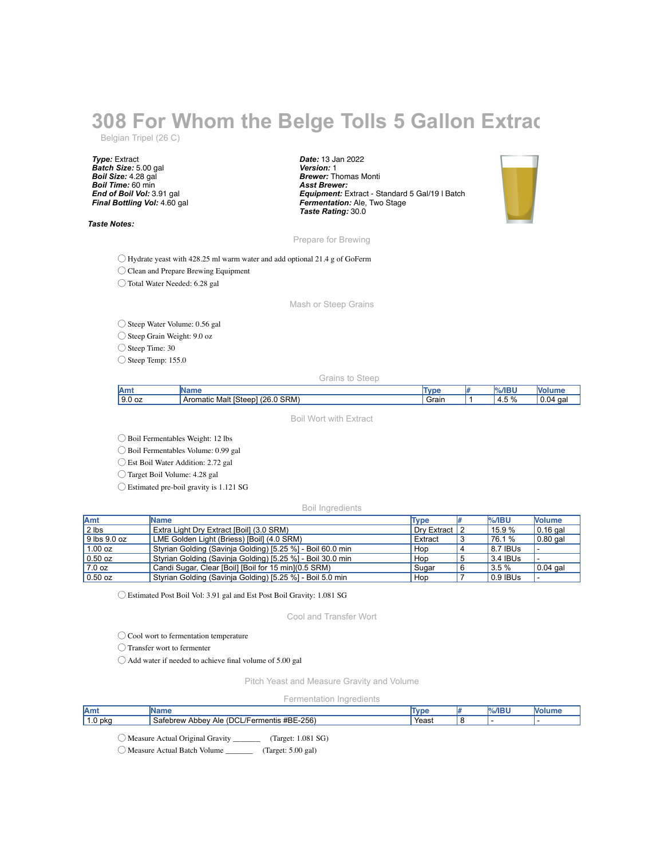## **308 For Whom the Belge Tolls 5 Gallon Extract**

Belgian Tripel (26 C)

*Type:* Extract *Batch Size:* 5.00 gal *Boil Size:* 4.28 gal *Boil Time:* 60 min *End of Boil Vol:* 3.91 gal *Final Bottling Vol:* 4.60 gal

*Taste Notes:*

*Date:* 13 Jan 2022 *Version:* 1 *Brewer:* Thomas Monti *Asst Brewer: Equipment:* Extract - Standard 5 Gal/19 l Batch *Fermentation:* Ale, Two Stage *Taste Rating:* 30.0



Prepare for Brewing

◯ Hydrate yeast with 428.25 ml warm water and add optional 21.4 g of GoFerm

◯ Clean and Prepare Brewing Equipment

◯ Total Water Needed: 6.28 gal

Mash or Steep Grains

◯ Steep Water Volume: 0.56 gal

◯ Steep Grain Weight: 9.0 oz

◯ Steep Time: 30

◯ Steep Temp: 155.0

Grains to Steep

| CDM<br>nc<br>$\Omega$<br>Steen.<br>ıд | I۸<br>.<br><b>MULL</b> | <b>INDPOT</b>                             | <b>T</b> uni | --<br><br>$\sqrt{2}$ |  |
|---------------------------------------|------------------------|-------------------------------------------|--------------|----------------------|--|
|                                       | 9.0 oz                 | Aromatic<br>Malt<br><b>SRM</b><br>2U<br>. | Grain        | 4.5°<br>70           |  |

Boil Wort with Extract

◯ Boil Fermentables Weight: 12 lbs

◯ Boil Fermentables Volume: 0.99 gal

◯ Est Boil Water Addition: 2.72 gal

◯ Target Boil Volume: 4.28 gal

◯ Estimated pre-boil gravity is 1.121 SG

Boil Ingredients

| <b>Amt</b>   | <b>Name</b>                                                | <b>Type</b>    | $\frac{9}{6}$ /IBU | <b>Nolume</b>    |
|--------------|------------------------------------------------------------|----------------|--------------------|------------------|
| 2 lbs        | Extra Light Dry Extract [Boil] (3.0 SRM)                   | Drv Extract 12 | 15.9 %             | $\vert$ 0.16 gal |
| 9 lbs 9.0 oz | LME Golden Light (Briess) [Boil] (4.0 SRM)                 | Extract        | 76.1 %             | $\vert$ 0.80 gal |
| $1.00$ oz    | Styrian Golding (Savinja Golding) [5.25 %] - Boil 60.0 min | Hop            | 8.7 IBUS           |                  |
| $0.50$ oz    | Styrian Golding (Savinja Golding) [5.25 %] - Boil 30.0 min | Hop            | 3.4 IBUS           |                  |
| 7.0 oz       | Candi Sugar, Clear [Boil] [Boil for 15 min] (0.5 SRM)      | Sugar          | 3.5 %              | $0.04$ gal       |
| $0.50$ oz    | Styrian Golding (Savinja Golding) [5.25 %] - Boil 5.0 min  | Hop            | 0.9 IBUS           |                  |

◯ Estimated Post Boil Vol: 3.91 gal and Est Post Boil Gravity: 1.081 SG

Cool and Transfer Wort

◯ Cool wort to fermentation temperature

◯ Transfer wort to fermenter

◯ Add water if needed to achieve final volume of 5.00 gal

Pitch Yeast and Measure Gravity and Volume

Fermentation Ingredients

| Amt     | mt                                                                                                  | <b>START</b> | $\frac{3}{2}$ /IBI |  |
|---------|-----------------------------------------------------------------------------------------------------|--------------|--------------------|--|
| 1.0 pka | $-256'$<br>#BE<br>DCL<br>. sater<br>ebrew<br>Abbev<br>mentis<br>Ale<br>o۳<br>$\prime$ $\vdash$<br>ы | Yeast        |                    |  |

◯ Measure Actual Original Gravity \_\_\_\_\_\_\_ (Target: 1.081 SG)

◯ Measure Actual Batch Volume \_\_\_\_\_\_\_ (Target: 5.00 gal)